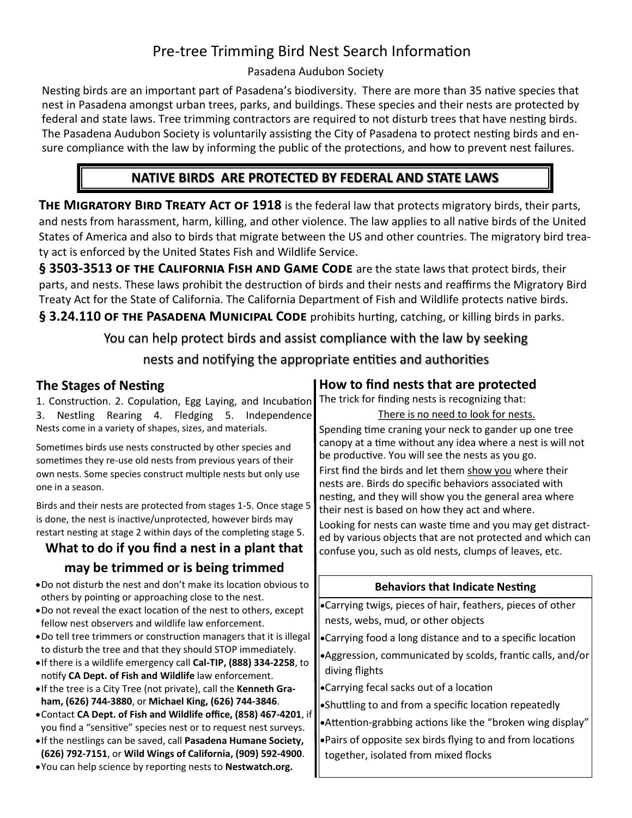## Pre-tree Trimming Bird Nest Search Information

### Pasadena Audubon Society

Nesting birds are an important part of Pasadena's biodiversity. There are more than 35 native species that nest in Pasadena amongst urban trees, parks, and buildings. These species and their nests are protected by federal and state laws. Tree trimming contractors are required to not disturb trees that have nesting birds. The Pasadena Audubon Society is voluntarily assisting the City of Pasadena to protect nesting birds and ensure compliance with the law by informing the public of the protections, and how to prevent nest failures.

## **NATIVE BIRDS ARE PROTECTED BY FEDERAL AND STATE LAWS**

**THE MIGRATORY BIRD TREATY ACT OF 1918** is the federal law that protects migratory birds, their parts, and nests from harassment, harm, killing, and other violence. The law applies to all native birds of the United States of America and also to birds that migrate between the US and other countries. The migratory bird treaty act is enforced by the United States Fish and Wildlife Service.

**§ 3503-3513 of the California Fish and Game Code** are the state laws that protect birds, their parts, and nests. These laws prohibit the destruction of birds and their nests and reaffirms the Migratory Bird Treaty Act for the State of California. The California Department of Fish and Wildlife protects native birds.

§ 3.24.110 OF THE PASADENA MUNICIPAL CODE prohibits hurting, catching, or killing birds in parks.

You can help protect birds and assist compliance with the law by seeking nests and notifying the appropriate entities and authorities

### **The Stages of Nesting**

1. Construction. 2. Copulation, Egg Laying, and Incubation 3. Nestling Rearing 4. Fledging 5. Independence Nests come in a variety of shapes, sizes, and materials.

Sometimes birds use nests constructed by other species and sometimes they re-use old nests from previous years of their own nests. Some species construct multiple nests but only use one in a season.

Birds and their nests are protected from stages 1-5. Once stage 5 is done, the nest is inactive/unprotected, however birds may restart nesting at stage 2 within days of the completing stage 5.

# **What to do if you find a nest in a plant that**

### **may be trimmed or is being trimmed**

- •Do not disturb the nest and don't make its location obvious to others by pointing or approaching close to the nest.
- •Do not reveal the exact location of the nest to others, except fellow nest observers and wildlife law enforcement.
- •Do tell tree trimmers or construction managers that it is illegal to disturb the tree and that they should STOP immediately.
- •If there is a wildlife emergency call **Cal-TIP, (888) 334-2258**, to notify **CA Dept. of Fish and Wildlife** law enforcement.
- •If the tree is a City Tree (not private), call the **Kenneth Graham, (626) 744-3880**, or **Michael King, (626) 744-3846**.
- •Contact **CA Dept. of Fish and Wildlife office, (858) 467-4201**, if you find a "sensitive" species nest or to request nest surveys.
- •If the nestlings can be saved, call **Pasadena Humane Society, (626) 792-7151**, or **Wild Wings of California, (909) 592-4900**.
- •You can help science by reporting nests to **Nestwatch.org.**

## **How to find nests that are protected**

The trick for finding nests is recognizing that:

There is no need to look for nests. Spending time craning your neck to gander up one tree canopy at a time without any idea where a nest is will not be productive. You will see the nests as you go. First find the birds and let them show you where their nests are. Birds do specific behaviors associated with nesting, and they will show you the general area where their nest is based on how they act and where. Looking for nests can waste time and you may get distracted by various objects that are not protected and which can confuse you, such as old nests, clumps of leaves, etc.

### **Behaviors that Indicate Nesting**

•Carrying twigs, pieces of hair, feathers, pieces of other nests, webs, mud, or other objects

- •Carrying food a long distance and to a specific location
- •Aggression, communicated by scolds, frantic calls, and/or diving flights

•Carrying fecal sacks out of a location

•Shuttling to and from a specific location repeatedly

•Attention-grabbing actions like the "broken wing display"

•Pairs of opposite sex birds flying to and from locations together, isolated from mixed flocks